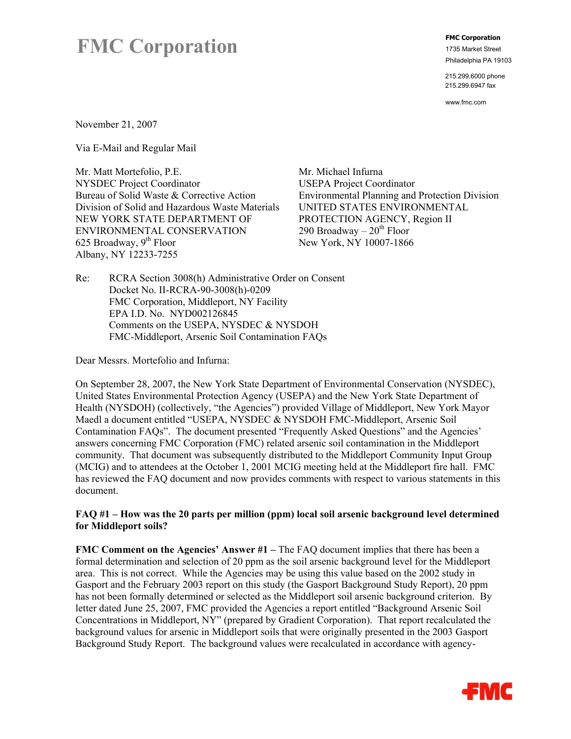# **FMC Corporation FMC Corporation** *FMC* **Corporation** *IT35 Market Street*

1735 Market Street Philadelphia PA 19103

215.299.6000 phone 215.299.6947 fax

www.fmc.com

November 21, 2007

Via E-Mail and Regular Mail

Mr. Matt Mortefolio, P.E. NYSDEC Project Coordinator Bureau of Solid Waste & Corrective Action Division of Solid and Hazardous Waste Materials NEW YORK STATE DEPARTMENT OF ENVIRONMENTAL CONSERVATION 625 Broadway,  $9<sup>th</sup>$  Floor Albany, NY 12233-7255

Mr. Michael Infurna USEPA Project Coordinator Environmental Planning and Protection Division UNITED STATES ENVIRONMENTAL PROTECTION AGENCY, Region II 290 Broadway –  $20<sup>th</sup>$  Floor New York, NY 10007-1866

Re: RCRA Section 3008(h) Administrative Order on Consent Docket No. II-RCRA-90-3008(h)-0209 FMC Corporation, Middleport, NY Facility EPA I.D. No. NYD002126845 Comments on the USEPA, NYSDEC & NYSDOH FMC-Middleport, Arsenic Soil Contamination FAQs

Dear Messrs. Mortefolio and Infurna:

On September 28, 2007, the New York State Department of Environmental Conservation (NYSDEC), United States Environmental Protection Agency (USEPA) and the New York State Department of Health (NYSDOH) (collectively, "the Agencies") provided Village of Middleport, New York Mayor Maedl a document entitled "USEPA, NYSDEC & NYSDOH FMC-Middleport, Arsenic Soil Contamination FAQs". The document presented "Frequently Asked Questions" and the Agencies' answers concerning FMC Corporation (FMC) related arsenic soil contamination in the Middleport community. That document was subsequently distributed to the Middleport Community Input Group (MCIG) and to attendees at the October 1, 2001 MCIG meeting held at the Middleport fire hall. FMC has reviewed the FAQ document and now provides comments with respect to various statements in this document.

#### **FAQ #1 – How was the 20 parts per million (ppm) local soil arsenic background level determined for Middleport soils?**

**FMC Comment on the Agencies' Answer #1** – The FAQ document implies that there has been a formal determination and selection of 20 ppm as the soil arsenic background level for the Middleport area. This is not correct. While the Agencies may be using this value based on the 2002 study in Gasport and the February 2003 report on this study (the Gasport Background Study Report), 20 ppm has not been formally determined or selected as the Middleport soil arsenic background criterion. By letter dated June 25, 2007, FMC provided the Agencies a report entitled "Background Arsenic Soil Concentrations in Middleport, NY" (prepared by Gradient Corporation). That report recalculated the background values for arsenic in Middleport soils that were originally presented in the 2003 Gasport Background Study Report. The background values were recalculated in accordance with agency-

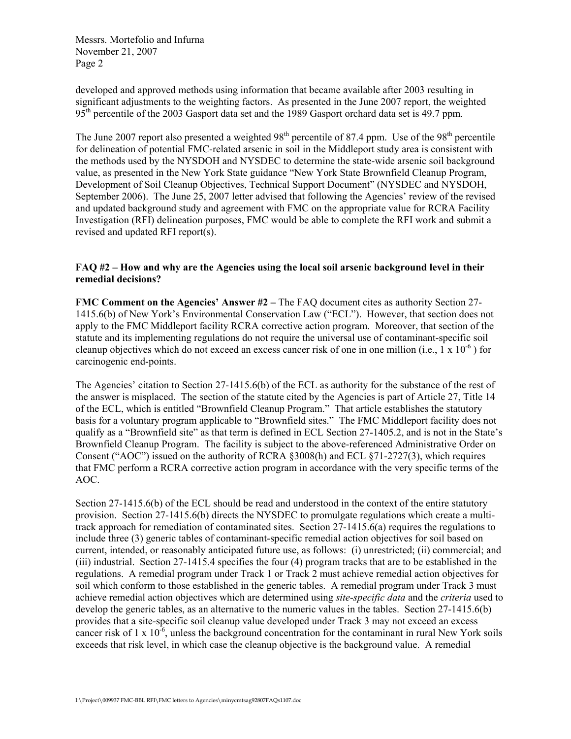developed and approved methods using information that became available after 2003 resulting in significant adjustments to the weighting factors. As presented in the June 2007 report, the weighted 95<sup>th</sup> percentile of the 2003 Gasport data set and the 1989 Gasport orchard data set is 49.7 ppm.

The June 2007 report also presented a weighted  $98<sup>th</sup>$  percentile of 87.4 ppm. Use of the  $98<sup>th</sup>$  percentile for delineation of potential FMC-related arsenic in soil in the Middleport study area is consistent with the methods used by the NYSDOH and NYSDEC to determine the state-wide arsenic soil background value, as presented in the New York State guidance "New York State Brownfield Cleanup Program, Development of Soil Cleanup Objectives, Technical Support Document" (NYSDEC and NYSDOH, September 2006). The June 25, 2007 letter advised that following the Agencies' review of the revised and updated background study and agreement with FMC on the appropriate value for RCRA Facility Investigation (RFI) delineation purposes, FMC would be able to complete the RFI work and submit a revised and updated RFI report(s).

#### **FAQ #2 – How and why are the Agencies using the local soil arsenic background level in their remedial decisions?**

**FMC Comment on the Agencies' Answer #2** – The FAQ document cites as authority Section 27-1415.6(b) of New York's Environmental Conservation Law ("ECL"). However, that section does not apply to the FMC Middleport facility RCRA corrective action program. Moreover, that section of the statute and its implementing regulations do not require the universal use of contaminant-specific soil cleanup objectives which do not exceed an excess cancer risk of one in one million (i.e.,  $1 \times 10^{-6}$ ) for carcinogenic end-points.

The Agencies' citation to Section 27-1415.6(b) of the ECL as authority for the substance of the rest of the answer is misplaced. The section of the statute cited by the Agencies is part of Article 27, Title 14 of the ECL, which is entitled "Brownfield Cleanup Program." That article establishes the statutory basis for a voluntary program applicable to "Brownfield sites." The FMC Middleport facility does not qualify as a "Brownfield site" as that term is defined in ECL Section 27-1405.2, and is not in the State's Brownfield Cleanup Program. The facility is subject to the above-referenced Administrative Order on Consent ("AOC") issued on the authority of RCRA §3008(h) and ECL §71-2727(3), which requires that FMC perform a RCRA corrective action program in accordance with the very specific terms of the AOC.

Section 27-1415.6(b) of the ECL should be read and understood in the context of the entire statutory provision. Section 27-1415.6(b) directs the NYSDEC to promulgate regulations which create a multitrack approach for remediation of contaminated sites. Section 27-1415.6(a) requires the regulations to include three (3) generic tables of contaminant-specific remedial action objectives for soil based on current, intended, or reasonably anticipated future use, as follows: (i) unrestricted; (ii) commercial; and (iii) industrial. Section 27-1415.4 specifies the four (4) program tracks that are to be established in the regulations. A remedial program under Track 1 or Track 2 must achieve remedial action objectives for soil which conform to those established in the generic tables. A remedial program under Track 3 must achieve remedial action objectives which are determined using *site-specific data* and the *criteria* used to develop the generic tables, as an alternative to the numeric values in the tables. Section 27-1415.6(b) provides that a site-specific soil cleanup value developed under Track 3 may not exceed an excess cancer risk of 1 x  $10^{-6}$ , unless the background concentration for the contaminant in rural New York soils exceeds that risk level, in which case the cleanup objective is the background value. A remedial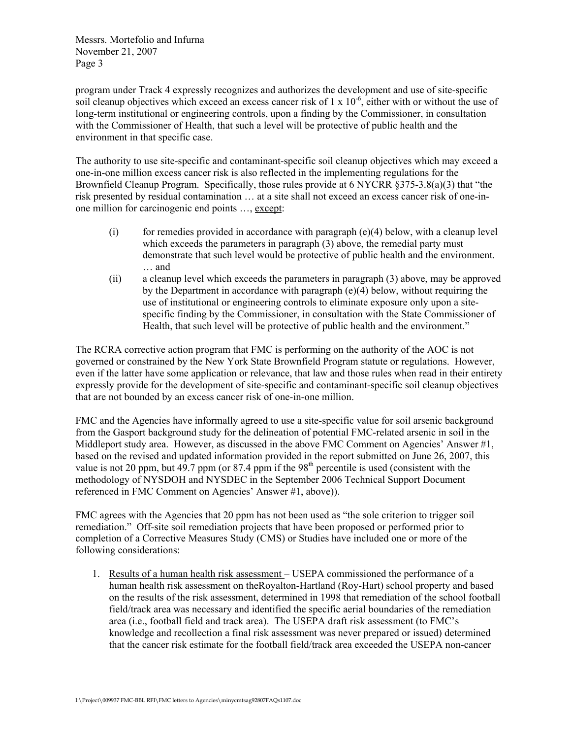program under Track 4 expressly recognizes and authorizes the development and use of site-specific soil cleanup objectives which exceed an excess cancer risk of  $1 \times 10^{-6}$ , either with or without the use of long-term institutional or engineering controls, upon a finding by the Commissioner, in consultation with the Commissioner of Health, that such a level will be protective of public health and the environment in that specific case.

The authority to use site-specific and contaminant-specific soil cleanup objectives which may exceed a one-in-one million excess cancer risk is also reflected in the implementing regulations for the Brownfield Cleanup Program. Specifically, those rules provide at 6 NYCRR §375-3.8(a)(3) that "the risk presented by residual contamination … at a site shall not exceed an excess cancer risk of one-inone million for carcinogenic end points …, except:

- $(i)$  for remedies provided in accordance with paragraph (e)(4) below, with a cleanup level which exceeds the parameters in paragraph (3) above, the remedial party must demonstrate that such level would be protective of public health and the environment. … and
- (ii) a cleanup level which exceeds the parameters in paragraph (3) above, may be approved by the Department in accordance with paragraph (e)(4) below, without requiring the use of institutional or engineering controls to eliminate exposure only upon a sitespecific finding by the Commissioner, in consultation with the State Commissioner of Health, that such level will be protective of public health and the environment."

The RCRA corrective action program that FMC is performing on the authority of the AOC is not governed or constrained by the New York State Brownfield Program statute or regulations. However, even if the latter have some application or relevance, that law and those rules when read in their entirety expressly provide for the development of site-specific and contaminant-specific soil cleanup objectives that are not bounded by an excess cancer risk of one-in-one million.

FMC and the Agencies have informally agreed to use a site-specific value for soil arsenic background from the Gasport background study for the delineation of potential FMC-related arsenic in soil in the Middleport study area. However, as discussed in the above FMC Comment on Agencies' Answer #1, based on the revised and updated information provided in the report submitted on June 26, 2007, this value is not 20 ppm, but  $49.7$  ppm (or  $87.4$  ppm if the  $98<sup>th</sup>$  percentile is used (consistent with the methodology of NYSDOH and NYSDEC in the September 2006 Technical Support Document referenced in FMC Comment on Agencies' Answer #1, above)).

FMC agrees with the Agencies that 20 ppm has not been used as "the sole criterion to trigger soil remediation." Off-site soil remediation projects that have been proposed or performed prior to completion of a Corrective Measures Study (CMS) or Studies have included one or more of the following considerations:

1. Results of a human health risk assessment – USEPA commissioned the performance of a human health risk assessment on theRoyalton-Hartland (Roy-Hart) school property and based on the results of the risk assessment, determined in 1998 that remediation of the school football field/track area was necessary and identified the specific aerial boundaries of the remediation area (i.e., football field and track area). The USEPA draft risk assessment (to FMC's knowledge and recollection a final risk assessment was never prepared or issued) determined that the cancer risk estimate for the football field/track area exceeded the USEPA non-cancer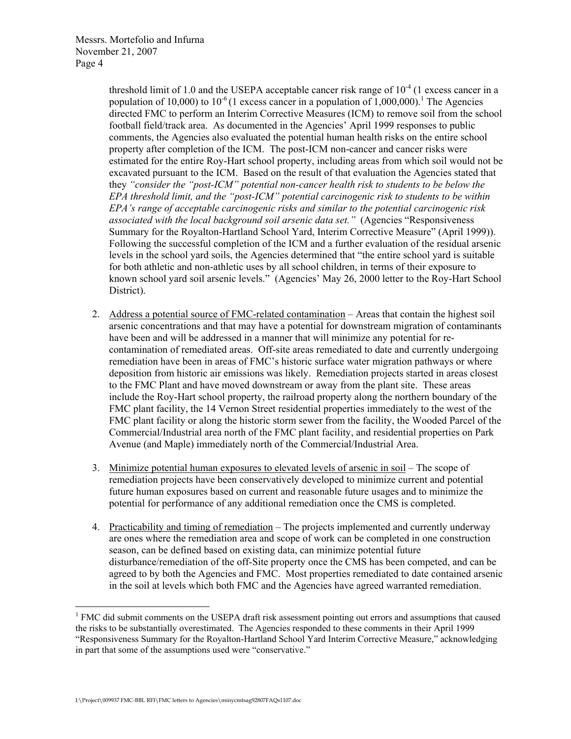threshold limit of 1.0 and the USEPA acceptable cancer risk range of  $10^{-4}$  (1 excess cancer in a population of 10,000) to 10<sup>-6</sup> (1 excess cancer in a population of 1,000,000).<sup>1</sup> The Agencies directed FMC to perform an Interim Corrective Measures (ICM) to remove soil from the school football field/track area. As documented in the Agencies' April 1999 responses to public comments, the Agencies also evaluated the potential human health risks on the entire school property after completion of the ICM. The post-ICM non-cancer and cancer risks were estimated for the entire Roy-Hart school property, including areas from which soil would not be excavated pursuant to the ICM. Based on the result of that evaluation the Agencies stated that they *"consider the "post-ICM" potential non-cancer health risk to students to be below the EPA threshold limit, and the "post-ICM" potential carcinogenic risk to students to be within EPA's range of acceptable carcinogenic risks and similar to the potential carcinogenic risk associated with the local background soil arsenic data set."* (Agencies "Responsiveness Summary for the Royalton-Hartland School Yard, Interim Corrective Measure" (April 1999)). Following the successful completion of the ICM and a further evaluation of the residual arsenic levels in the school yard soils, the Agencies determined that "the entire school yard is suitable for both athletic and non-athletic uses by all school children, in terms of their exposure to known school yard soil arsenic levels." (Agencies' May 26, 2000 letter to the Roy-Hart School District).

- 2. Address a potential source of FMC-related contamination Areas that contain the highest soil arsenic concentrations and that may have a potential for downstream migration of contaminants have been and will be addressed in a manner that will minimize any potential for recontamination of remediated areas. Off-site areas remediated to date and currently undergoing remediation have been in areas of FMC's historic surface water migration pathways or where deposition from historic air emissions was likely. Remediation projects started in areas closest to the FMC Plant and have moved downstream or away from the plant site. These areas include the Roy-Hart school property, the railroad property along the northern boundary of the FMC plant facility, the 14 Vernon Street residential properties immediately to the west of the FMC plant facility or along the historic storm sewer from the facility, the Wooded Parcel of the Commercial/Industrial area north of the FMC plant facility, and residential properties on Park Avenue (and Maple) immediately north of the Commercial/Industrial Area.
- 3. Minimize potential human exposures to elevated levels of arsenic in soil The scope of remediation projects have been conservatively developed to minimize current and potential future human exposures based on current and reasonable future usages and to minimize the potential for performance of any additional remediation once the CMS is completed.
- 4. Practicability and timing of remediation The projects implemented and currently underway are ones where the remediation area and scope of work can be completed in one construction season, can be defined based on existing data, can minimize potential future disturbance/remediation of the off-Site property once the CMS has been competed, and can be agreed to by both the Agencies and FMC. Most properties remediated to date contained arsenic in the soil at levels which both FMC and the Agencies have agreed warranted remediation.

 $\overline{a}$ 

<sup>&</sup>lt;sup>1</sup> FMC did submit comments on the USEPA draft risk assessment pointing out errors and assumptions that caused the risks to be substantially overestimated. The Agencies responded to these comments in their April 1999 "Responsiveness Summary for the Royalton-Hartland School Yard Interim Corrective Measure," acknowledging in part that some of the assumptions used were "conservative."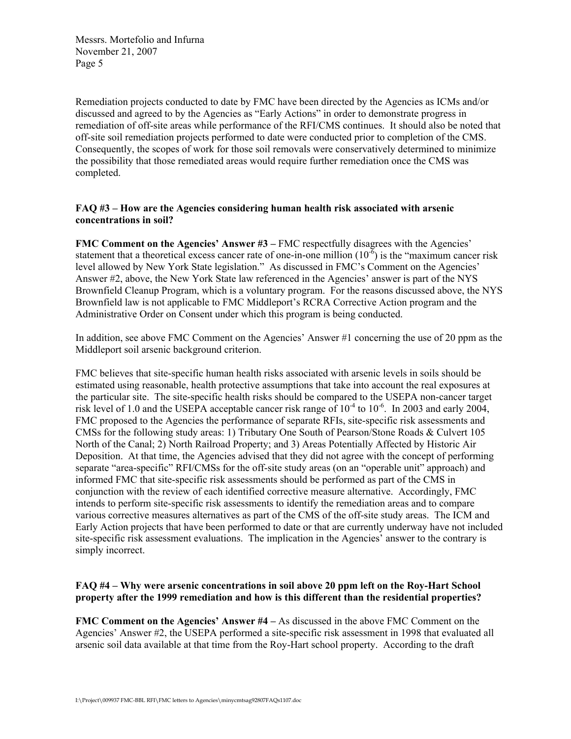Remediation projects conducted to date by FMC have been directed by the Agencies as ICMs and/or discussed and agreed to by the Agencies as "Early Actions" in order to demonstrate progress in remediation of off-site areas while performance of the RFI/CMS continues. It should also be noted that off-site soil remediation projects performed to date were conducted prior to completion of the CMS. Consequently, the scopes of work for those soil removals were conservatively determined to minimize the possibility that those remediated areas would require further remediation once the CMS was completed.

### **FAQ #3 – How are the Agencies considering human health risk associated with arsenic concentrations in soil?**

**FMC Comment on the Agencies' Answer #3** – FMC respectfully disagrees with the Agencies' statement that a theoretical excess cancer rate of one-in-one million  $(10^{-6})$  is the "maximum cancer risk" level allowed by New York State legislation." As discussed in FMC's Comment on the Agencies' Answer #2, above, the New York State law referenced in the Agencies' answer is part of the NYS Brownfield Cleanup Program, which is a voluntary program. For the reasons discussed above, the NYS Brownfield law is not applicable to FMC Middleport's RCRA Corrective Action program and the Administrative Order on Consent under which this program is being conducted.

In addition, see above FMC Comment on the Agencies' Answer #1 concerning the use of 20 ppm as the Middleport soil arsenic background criterion.

FMC believes that site-specific human health risks associated with arsenic levels in soils should be estimated using reasonable, health protective assumptions that take into account the real exposures at the particular site. The site-specific health risks should be compared to the USEPA non-cancer target risk level of 1.0 and the USEPA acceptable cancer risk range of  $10^{-4}$  to  $10^{-6}$ . In 2003 and early 2004, FMC proposed to the Agencies the performance of separate RFIs, site-specific risk assessments and CMSs for the following study areas: 1) Tributary One South of Pearson/Stone Roads & Culvert 105 North of the Canal; 2) North Railroad Property; and 3) Areas Potentially Affected by Historic Air Deposition. At that time, the Agencies advised that they did not agree with the concept of performing separate "area-specific" RFI/CMSs for the off-site study areas (on an "operable unit" approach) and informed FMC that site-specific risk assessments should be performed as part of the CMS in conjunction with the review of each identified corrective measure alternative. Accordingly, FMC intends to perform site-specific risk assessments to identify the remediation areas and to compare various corrective measures alternatives as part of the CMS of the off-site study areas. The ICM and Early Action projects that have been performed to date or that are currently underway have not included site-specific risk assessment evaluations. The implication in the Agencies' answer to the contrary is simply incorrect.

# **FAQ #4 – Why were arsenic concentrations in soil above 20 ppm left on the Roy-Hart School property after the 1999 remediation and how is this different than the residential properties?**

**FMC Comment on the Agencies' Answer #4 –** As discussed in the above FMC Comment on the Agencies' Answer #2, the USEPA performed a site-specific risk assessment in 1998 that evaluated all arsenic soil data available at that time from the Roy-Hart school property. According to the draft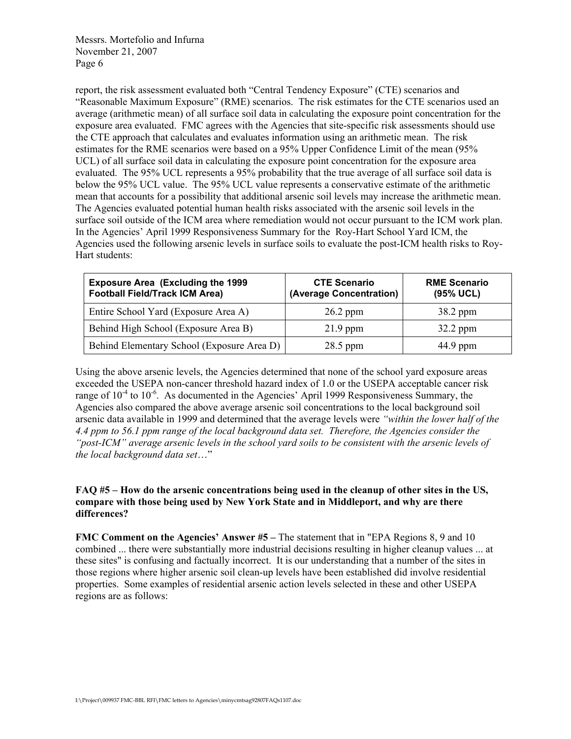report, the risk assessment evaluated both "Central Tendency Exposure" (CTE) scenarios and "Reasonable Maximum Exposure" (RME) scenarios. The risk estimates for the CTE scenarios used an average (arithmetic mean) of all surface soil data in calculating the exposure point concentration for the exposure area evaluated. FMC agrees with the Agencies that site-specific risk assessments should use the CTE approach that calculates and evaluates information using an arithmetic mean. The risk estimates for the RME scenarios were based on a 95% Upper Confidence Limit of the mean (95% UCL) of all surface soil data in calculating the exposure point concentration for the exposure area evaluated. The 95% UCL represents a 95% probability that the true average of all surface soil data is below the 95% UCL value. The 95% UCL value represents a conservative estimate of the arithmetic mean that accounts for a possibility that additional arsenic soil levels may increase the arithmetic mean. The Agencies evaluated potential human health risks associated with the arsenic soil levels in the surface soil outside of the ICM area where remediation would not occur pursuant to the ICM work plan. In the Agencies' April 1999 Responsiveness Summary for the Roy-Hart School Yard ICM, the Agencies used the following arsenic levels in surface soils to evaluate the post-ICM health risks to Roy-Hart students:

| <b>Exposure Area (Excluding the 1999</b><br><b>Football Field/Track ICM Area)</b> | <b>CTE Scenario</b><br>(Average Concentration) | <b>RME Scenario</b><br>(95% UCL) |
|-----------------------------------------------------------------------------------|------------------------------------------------|----------------------------------|
| Entire School Yard (Exposure Area A)                                              | $26.2$ ppm                                     | 38.2 ppm                         |
| Behind High School (Exposure Area B)                                              | $21.9$ ppm                                     | $32.2$ ppm                       |
| Behind Elementary School (Exposure Area D)                                        | 28.5 ppm                                       | 44.9 ppm                         |

Using the above arsenic levels, the Agencies determined that none of the school yard exposure areas exceeded the USEPA non-cancer threshold hazard index of 1.0 or the USEPA acceptable cancer risk range of  $10^{-4}$  to  $10^{-6}$ . As documented in the Agencies' April 1999 Responsiveness Summary, the Agencies also compared the above average arsenic soil concentrations to the local background soil arsenic data available in 1999 and determined that the average levels were *"within the lower half of the 4.4 ppm to 56.1 ppm range of the local background data set. Therefore, the Agencies consider the "post-ICM" average arsenic levels in the school yard soils to be consistent with the arsenic levels of the local background data set*…"

# **FAQ #5 – How do the arsenic concentrations being used in the cleanup of other sites in the US, compare with those being used by New York State and in Middleport, and why are there differences?**

**FMC Comment on the Agencies' Answer #5** – The statement that in "EPA Regions 8, 9 and 10 combined ... there were substantially more industrial decisions resulting in higher cleanup values ... at these sites" is confusing and factually incorrect. It is our understanding that a number of the sites in those regions where higher arsenic soil clean-up levels have been established did involve residential properties. Some examples of residential arsenic action levels selected in these and other USEPA regions are as follows: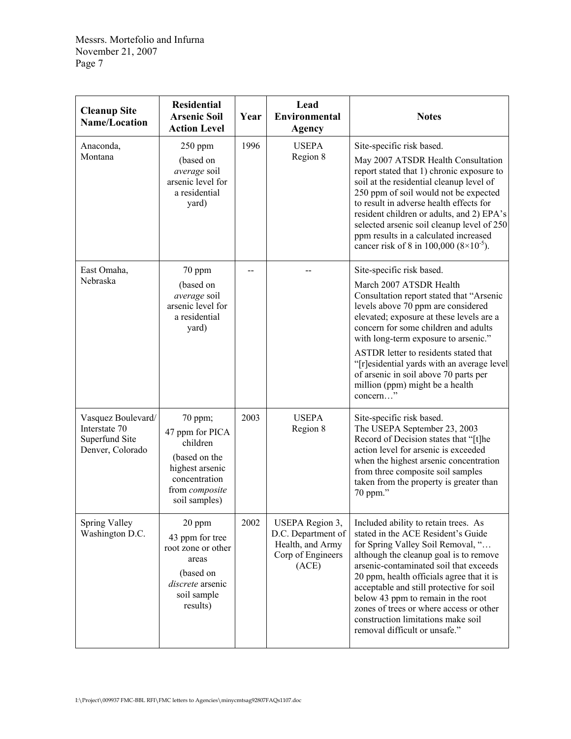| <b>Cleanup Site</b><br><b>Name/Location</b>                               | <b>Residential</b><br><b>Arsenic Soil</b><br><b>Action Level</b>                                                               | Year | Lead<br><b>Environmental</b><br><b>Agency</b>                                           | <b>Notes</b>                                                                                                                                                                                                                                                                                                                                                                                                                                         |
|---------------------------------------------------------------------------|--------------------------------------------------------------------------------------------------------------------------------|------|-----------------------------------------------------------------------------------------|------------------------------------------------------------------------------------------------------------------------------------------------------------------------------------------------------------------------------------------------------------------------------------------------------------------------------------------------------------------------------------------------------------------------------------------------------|
| Anaconda,<br>Montana                                                      | $250$ ppm<br>(based on<br>average soil<br>arsenic level for<br>a residential<br>yard)                                          | 1996 | <b>USEPA</b><br>Region 8                                                                | Site-specific risk based.<br>May 2007 ATSDR Health Consultation<br>report stated that 1) chronic exposure to<br>soil at the residential cleanup level of<br>250 ppm of soil would not be expected<br>to result in adverse health effects for<br>resident children or adults, and 2) EPA's<br>selected arsenic soil cleanup level of 250<br>ppm results in a calculated increased<br>cancer risk of 8 in 100,000 $(8\times10^{-5})$ .                 |
| East Omaha,<br>Nebraska                                                   | 70 ppm<br>(based on<br>average soil<br>arsenic level for<br>a residential<br>yard)                                             |      |                                                                                         | Site-specific risk based.<br>March 2007 ATSDR Health<br>Consultation report stated that "Arsenic<br>levels above 70 ppm are considered<br>elevated; exposure at these levels are a<br>concern for some children and adults<br>with long-term exposure to arsenic."<br>ASTDR letter to residents stated that<br>"[r]esidential yards with an average level<br>of arsenic in soil above 70 parts per<br>million (ppm) might be a health<br>concern"    |
| Vasquez Boulevard/<br>Interstate 70<br>Superfund Site<br>Denver, Colorado | 70 ppm;<br>47 ppm for PICA<br>children<br>(based on the<br>highest arsenic<br>concentration<br>from composite<br>soil samples) | 2003 | <b>USEPA</b><br>Region 8                                                                | Site-specific risk based.<br>The USEPA September 23, 2003<br>Record of Decision states that "[t]he<br>action level for arsenic is exceeded<br>when the highest arsenic concentration<br>from three composite soil samples<br>taken from the property is greater than<br>70 ppm."                                                                                                                                                                     |
| Spring Valley<br>Washington D.C.                                          | 20 ppm<br>43 ppm for tree<br>root zone or other<br>areas<br>(based on<br>discrete arsenic<br>soil sample<br>results)           | 2002 | USEPA Region 3,<br>D.C. Department of<br>Health, and Army<br>Corp of Engineers<br>(ACE) | Included ability to retain trees. As<br>stated in the ACE Resident's Guide<br>for Spring Valley Soil Removal, "<br>although the cleanup goal is to remove<br>arsenic-contaminated soil that exceeds<br>20 ppm, health officials agree that it is<br>acceptable and still protective for soil<br>below 43 ppm to remain in the root<br>zones of trees or where access or other<br>construction limitations make soil<br>removal difficult or unsafe." |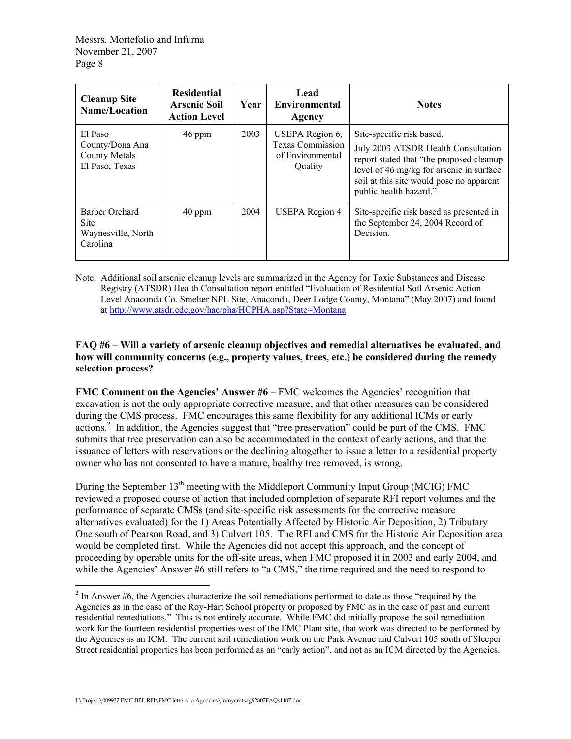| <b>Cleanup Site</b><br><b>Name/Location</b>                          | <b>Residential</b><br><b>Arsenic Soil</b><br><b>Action Level</b> | Year | Lead<br><b>Environmental</b><br>Agency                                    | <b>Notes</b>                                                                                                                                                                                                                   |
|----------------------------------------------------------------------|------------------------------------------------------------------|------|---------------------------------------------------------------------------|--------------------------------------------------------------------------------------------------------------------------------------------------------------------------------------------------------------------------------|
| El Paso<br>County/Dona Ana<br><b>County Metals</b><br>El Paso, Texas | 46 ppm                                                           | 2003 | USEPA Region 6,<br><b>Texas Commission</b><br>of Environmental<br>Quality | Site-specific risk based.<br>July 2003 ATSDR Health Consultation<br>report stated that "the proposed cleanup<br>level of 46 mg/kg for arsenic in surface<br>soil at this site would pose no apparent<br>public health hazard." |
| Barber Orchard<br><b>Site</b><br>Waynesville, North<br>Carolina      | 40 ppm                                                           | 2004 | <b>USEPA</b> Region 4                                                     | Site-specific risk based as presented in<br>the September 24, 2004 Record of<br>Decision.                                                                                                                                      |

Note: Additional soil arsenic cleanup levels are summarized in the Agency for Toxic Substances and Disease Registry (ATSDR) Health Consultation report entitled "Evaluation of Residential Soil Arsenic Action Level Anaconda Co. Smelter NPL Site, Anaconda, Deer Lodge County, Montana" (May 2007) and found at http://www.atsdr.cdc.gov/hac/pha/HCPHA.asp?State=Montana

# **FAQ #6 – Will a variety of arsenic cleanup objectives and remedial alternatives be evaluated, and how will community concerns (e.g., property values, trees, etc.) be considered during the remedy selection process?**

**FMC Comment on the Agencies' Answer #6** – FMC welcomes the Agencies' recognition that excavation is not the only appropriate corrective measure, and that other measures can be considered during the CMS process. FMC encourages this same flexibility for any additional ICMs or early actions.<sup>2</sup> In addition, the Agencies suggest that "tree preservation" could be part of the CMS. FMC submits that tree preservation can also be accommodated in the context of early actions, and that the issuance of letters with reservations or the declining altogether to issue a letter to a residential property owner who has not consented to have a mature, healthy tree removed, is wrong.

During the September 13<sup>th</sup> meeting with the Middleport Community Input Group (MCIG) FMC reviewed a proposed course of action that included completion of separate RFI report volumes and the performance of separate CMSs (and site-specific risk assessments for the corrective measure alternatives evaluated) for the 1) Areas Potentially Affected by Historic Air Deposition, 2) Tributary One south of Pearson Road, and 3) Culvert 105. The RFI and CMS for the Historic Air Deposition area would be completed first. While the Agencies did not accept this approach, and the concept of proceeding by operable units for the off-site areas, when FMC proposed it in 2003 and early 2004, and while the Agencies' Answer #6 still refers to "a CMS," the time required and the need to respond to

 $\overline{a}$ 

 $2$  In Answer #6, the Agencies characterize the soil remediations performed to date as those "required by the Agencies as in the case of the Roy-Hart School property or proposed by FMC as in the case of past and current residential remediations." This is not entirely accurate. While FMC did initially propose the soil remediation work for the fourteen residential properties west of the FMC Plant site, that work was directed to be performed by the Agencies as an ICM. The current soil remediation work on the Park Avenue and Culvert 105 south of Sleeper Street residential properties has been performed as an "early action", and not as an ICM directed by the Agencies.